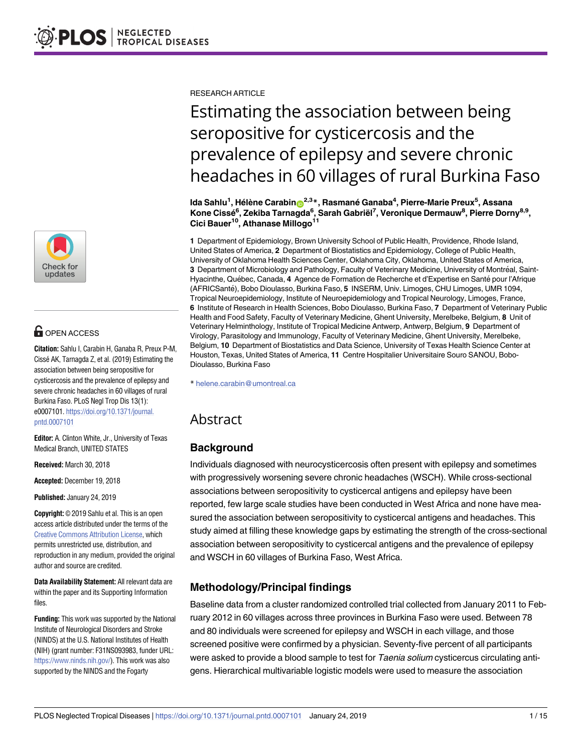

# **G** OPEN ACCESS

**Citation:** Sahlu I, Carabin H, Ganaba R, Preux P-M, Cisse´ AK, Tarnagda Z, et al. (2019) Estimating the association between being seropositive for cysticercosis and the prevalence of epilepsy and severe chronic headaches in 60 villages of rural Burkina Faso. PLoS Negl Trop Dis 13(1): e0007101. [https://doi.org/10.1371/journal.](https://doi.org/10.1371/journal.pntd.0007101) [pntd.0007101](https://doi.org/10.1371/journal.pntd.0007101)

**Editor:** A. Clinton White, Jr., University of Texas Medical Branch, UNITED STATES

**Received:** March 30, 2018

**Accepted:** December 19, 2018

**Published:** January 24, 2019

**Copyright:** © 2019 Sahlu et al. This is an open access article distributed under the terms of the Creative Commons [Attribution](http://creativecommons.org/licenses/by/4.0/) License, which permits unrestricted use, distribution, and reproduction in any medium, provided the original author and source are credited.

**Data Availability Statement:** All relevant data are within the paper and its Supporting Information files.

**Funding:** This work was supported by the National Institute of Neurological Disorders and Stroke (NINDS) at the U.S. National Institutes of Health (NIH) (grant number: F31NS093983, funder URL: <https://www.ninds.nih.gov/>). This work was also supported by the NINDS and the Fogarty

RESEARCH ARTICLE

# Estimating the association between being seropositive for cysticercosis and the prevalence of epilepsy and severe chronic headaches in 60 villages of rural Burkina Faso

**Ida Sahlu1 , He´lène Carabin[ID2](http://orcid.org/0000-0002-2822-4730),3\*, Rasmane´ Ganaba4 , Pierre-Marie Preux5 , Assana Kone Cisse´ <sup>6</sup> , Zekiba Tarnagda6 , Sarah Gabrie¨l 7 , Veronique Dermauw8 , Pierre Dorny8,9, Cici Bauer<sup>10</sup>, Athanase Millogo<sup>11</sup>** 

**1** Department of Epidemiology, Brown University School of Public Health, Providence, Rhode Island, United States of America, **2** Department of Biostatistics and Epidemiology, College of Public Health, University of Oklahoma Health Sciences Center, Oklahoma City, Oklahoma, United States of America, **3** Department of Microbiology and Pathology, Faculty of Veterinary Medicine, University of Montréal, Saint-Hyacinthe, Québec, Canada, 4 Agence de Formation de Recherche et d'Expertise en Santé pour l'Afrique (AFRICSante´), Bobo Dioulasso, Burkina Faso, **5** INSERM, Univ. Limoges, CHU Limoges, UMR 1094, Tropical Neuroepidemiology, Institute of Neuroepidemiology and Tropical Neurology, Limoges, France, **6** Institute of Research in Health Sciences, Bobo Dioulasso, Burkina Faso, **7** Department of Veterinary Public Health and Food Safety, Faculty of Veterinary Medicine, Ghent University, Merelbeke, Belgium, **8** Unit of Veterinary Helminthology, Institute of Tropical Medicine Antwerp, Antwerp, Belgium, **9** Department of Virology, Parasitology and Immunology, Faculty of Veterinary Medicine, Ghent University, Merelbeke, Belgium, **10** Department of Biostatistics and Data Science, University of Texas Health Science Center at Houston, Texas, United States of America, **11** Centre Hospitalier Universitaire Souro SANOU, Bobo-Dioulasso, Burkina Faso

\* helene.carabin@umontreal.ca

# **Abstract**

# **Background**

Individuals diagnosed with neurocysticercosis often present with epilepsy and sometimes with progressively worsening severe chronic headaches (WSCH). While cross-sectional associations between seropositivity to cysticercal antigens and epilepsy have been reported, few large scale studies have been conducted in West Africa and none have measured the association between seropositivity to cysticercal antigens and headaches. This study aimed at filling these knowledge gaps by estimating the strength of the cross-sectional association between seropositivity to cysticercal antigens and the prevalence of epilepsy and WSCH in 60 villages of Burkina Faso, West Africa.

# **Methodology/Principal findings**

Baseline data from a cluster randomized controlled trial collected from January 2011 to February 2012 in 60 villages across three provinces in Burkina Faso were used. Between 78 and 80 individuals were screened for epilepsy and WSCH in each village, and those screened positive were confirmed by a physician. Seventy-five percent of all participants were asked to provide a blood sample to test for Taenia solium cysticercus circulating antigens. Hierarchical multivariable logistic models were used to measure the association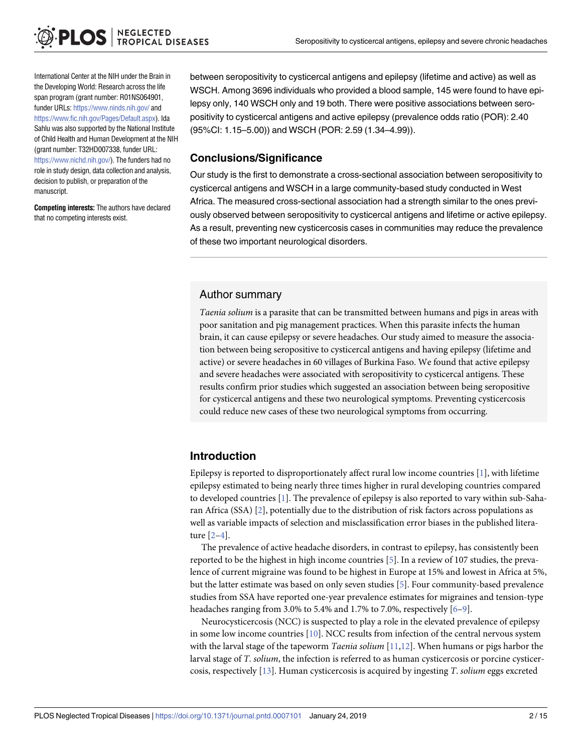<span id="page-1-0"></span>International Center at the NIH under the Brain in the Developing World: Research across the life span program (grant number: R01NS064901, funder URLs: <https://www.ninds.nih.gov/> and <https://www.fic.nih.gov/Pages/Default.aspx>). Ida Sahlu was also supported by the National Institute of Child Health and Human Development at the NIH (grant number: T32HD007338, funder URL: <https://www.nichd.nih.gov/>). The funders had no role in study design, data collection and analysis, decision to publish, or preparation of the manuscript.

**Competing interests:** The authors have declared that no competing interests exist.

between seropositivity to cysticercal antigens and epilepsy (lifetime and active) as well as WSCH. Among 3696 individuals who provided a blood sample, 145 were found to have epilepsy only, 140 WSCH only and 19 both. There were positive associations between seropositivity to cysticercal antigens and active epilepsy (prevalence odds ratio (POR): 2.40 (95%CI: 1.15–5.00)) and WSCH (POR: 2.59 (1.34–4.99)).

#### **Conclusions/Significance**

Our study is the first to demonstrate a cross-sectional association between seropositivity to cysticercal antigens and WSCH in a large community-based study conducted in West Africa. The measured cross-sectional association had a strength similar to the ones previously observed between seropositivity to cysticercal antigens and lifetime or active epilepsy. As a result, preventing new cysticercosis cases in communities may reduce the prevalence of these two important neurological disorders.

#### Author summary

*Taenia solium* is a parasite that can be transmitted between humans and pigs in areas with poor sanitation and pig management practices. When this parasite infects the human brain, it can cause epilepsy or severe headaches. Our study aimed to measure the association between being seropositive to cysticercal antigens and having epilepsy (lifetime and active) or severe headaches in 60 villages of Burkina Faso. We found that active epilepsy and severe headaches were associated with seropositivity to cysticercal antigens. These results confirm prior studies which suggested an association between being seropositive for cysticercal antigens and these two neurological symptoms. Preventing cysticercosis could reduce new cases of these two neurological symptoms from occurring.

## **Introduction**

Epilepsy is reported to disproportionately affect rural low income countries  $[1]$  $[1]$  $[1]$ , with lifetime epilepsy estimated to being nearly three times higher in rural developing countries compared to developed countries [[1\]](#page-12-0). The prevalence of epilepsy is also reported to vary within sub-Saharan Africa (SSA) [\[2](#page-12-0)], potentially due to the distribution of risk factors across populations as well as variable impacts of selection and misclassification error biases in the published literature [[2–4\]](#page-12-0).

The prevalence of active headache disorders, in contrast to epilepsy, has consistently been reported to be the highest in high income countries [\[5](#page-12-0)]. In a review of 107 studies, the prevalence of current migraine was found to be highest in Europe at 15% and lowest in Africa at 5%, but the latter estimate was based on only seven studies [\[5](#page-12-0)]. Four community-based prevalence studies from SSA have reported one-year prevalence estimates for migraines and tension-type headaches ranging from 3.0% to 5.4% and 1.7% to 7.0%, respectively [[6](#page-12-0)–[9](#page-12-0)].

Neurocysticercosis (NCC) is suspected to play a role in the elevated prevalence of epilepsy in some low income countries [\[10\]](#page-12-0). NCC results from infection of the central nervous system with the larval stage of the tapeworm *Taenia solium* [\[11,12](#page-12-0)]. When humans or pigs harbor the larval stage of *T*. *solium*, the infection is referred to as human cysticercosis or porcine cysticercosis, respectively [[13](#page-12-0)]. Human cysticercosis is acquired by ingesting *T*. *solium* eggs excreted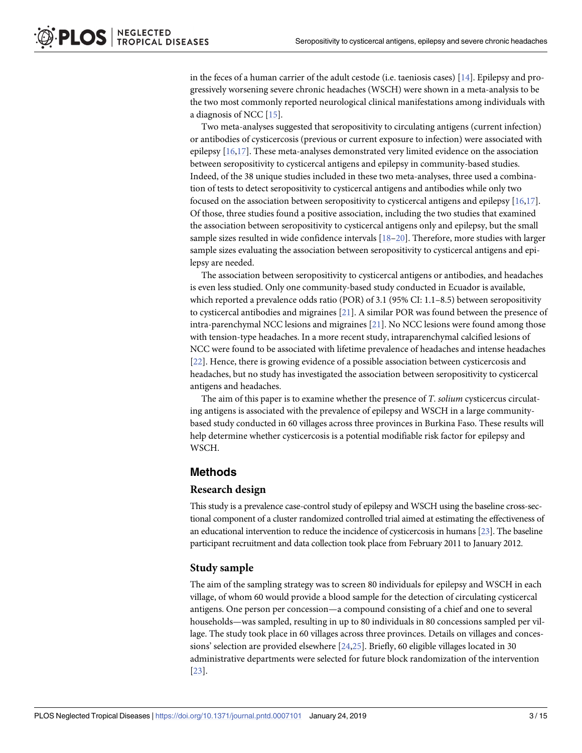<span id="page-2-0"></span>in the feces of a human carrier of the adult cestode (i.e. taeniosis cases) [[14](#page-12-0)]. Epilepsy and progressively worsening severe chronic headaches (WSCH) were shown in a meta-analysis to be the two most commonly reported neurological clinical manifestations among individuals with a diagnosis of NCC [[15\]](#page-12-0).

Two meta-analyses suggested that seropositivity to circulating antigens (current infection) or antibodies of cysticercosis (previous or current exposure to infection) were associated with epilepsy [[16](#page-12-0)[,17\]](#page-13-0). These meta-analyses demonstrated very limited evidence on the association between seropositivity to cysticercal antigens and epilepsy in community-based studies. Indeed, of the 38 unique studies included in these two meta-analyses, three used a combination of tests to detect seropositivity to cysticercal antigens and antibodies while only two focused on the association between seropositivity to cysticercal antigens and epilepsy [[16](#page-12-0),[17](#page-13-0)]. Of those, three studies found a positive association, including the two studies that examined the association between seropositivity to cysticercal antigens only and epilepsy, but the small sample sizes resulted in wide confidence intervals [[18](#page-13-0)–[20](#page-13-0)]. Therefore, more studies with larger sample sizes evaluating the association between seropositivity to cysticercal antigens and epilepsy are needed.

The association between seropositivity to cysticercal antigens or antibodies, and headaches is even less studied. Only one community-based study conducted in Ecuador is available, which reported a prevalence odds ratio (POR) of 3.1 (95% CI: 1.1–8.5) between seropositivity to cysticercal antibodies and migraines [[21](#page-13-0)]. A similar POR was found between the presence of intra-parenchymal NCC lesions and migraines [[21](#page-13-0)]. No NCC lesions were found among those with tension-type headaches. In a more recent study, intraparenchymal calcified lesions of NCC were found to be associated with lifetime prevalence of headaches and intense headaches [\[22\]](#page-13-0). Hence, there is growing evidence of a possible association between cysticercosis and headaches, but no study has investigated the association between seropositivity to cysticercal antigens and headaches.

The aim of this paper is to examine whether the presence of *T*. *solium* cysticercus circulating antigens is associated with the prevalence of epilepsy and WSCH in a large communitybased study conducted in 60 villages across three provinces in Burkina Faso. These results will help determine whether cysticercosis is a potential modifiable risk factor for epilepsy and WSCH.

#### **Methods**

#### **Research design**

This study is a prevalence case-control study of epilepsy and WSCH using the baseline cross-sectional component of a cluster randomized controlled trial aimed at estimating the effectiveness of an educational intervention to reduce the incidence of cysticercosis in humans [\[23](#page-13-0)]. The baseline participant recruitment and data collection took place from February 2011 to January 2012.

#### **Study sample**

The aim of the sampling strategy was to screen 80 individuals for epilepsy and WSCH in each village, of whom 60 would provide a blood sample for the detection of circulating cysticercal antigens. One person per concession—a compound consisting of a chief and one to several households—was sampled, resulting in up to 80 individuals in 80 concessions sampled per village. The study took place in 60 villages across three provinces. Details on villages and concessions' selection are provided elsewhere [\[24,25](#page-13-0)]. Briefly, 60 eligible villages located in 30 administrative departments were selected for future block randomization of the intervention [\[23\]](#page-13-0).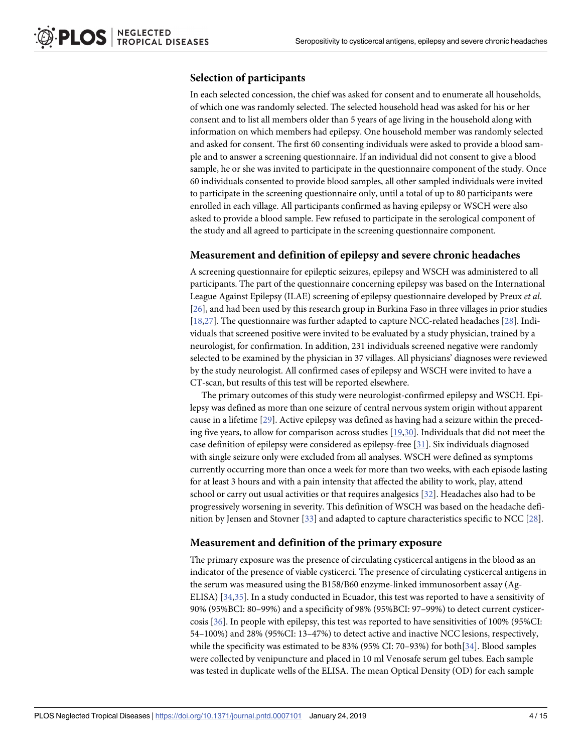### <span id="page-3-0"></span>**Selection of participants**

In each selected concession, the chief was asked for consent and to enumerate all households, of which one was randomly selected. The selected household head was asked for his or her consent and to list all members older than 5 years of age living in the household along with information on which members had epilepsy. One household member was randomly selected and asked for consent. The first 60 consenting individuals were asked to provide a blood sample and to answer a screening questionnaire. If an individual did not consent to give a blood sample, he or she was invited to participate in the questionnaire component of the study. Once 60 individuals consented to provide blood samples, all other sampled individuals were invited to participate in the screening questionnaire only, until a total of up to 80 participants were enrolled in each village. All participants confirmed as having epilepsy or WSCH were also asked to provide a blood sample. Few refused to participate in the serological component of the study and all agreed to participate in the screening questionnaire component.

#### **Measurement and definition of epilepsy and severe chronic headaches**

A screening questionnaire for epileptic seizures, epilepsy and WSCH was administered to all participants. The part of the questionnaire concerning epilepsy was based on the International League Against Epilepsy (ILAE) screening of epilepsy questionnaire developed by Preux *et al*. [\[26\]](#page-13-0), and had been used by this research group in Burkina Faso in three villages in prior studies [\[18,27\]](#page-13-0). The questionnaire was further adapted to capture NCC-related headaches [[28](#page-13-0)]. Individuals that screened positive were invited to be evaluated by a study physician, trained by a neurologist, for confirmation. In addition, 231 individuals screened negative were randomly selected to be examined by the physician in 37 villages. All physicians' diagnoses were reviewed by the study neurologist. All confirmed cases of epilepsy and WSCH were invited to have a CT-scan, but results of this test will be reported elsewhere.

The primary outcomes of this study were neurologist-confirmed epilepsy and WSCH. Epilepsy was defined as more than one seizure of central nervous system origin without apparent cause in a lifetime [[29](#page-13-0)]. Active epilepsy was defined as having had a seizure within the preceding five years, to allow for comparison across studies [[19,30\]](#page-13-0). Individuals that did not meet the case definition of epilepsy were considered as epilepsy-free [\[31\]](#page-13-0). Six individuals diagnosed with single seizure only were excluded from all analyses. WSCH were defined as symptoms currently occurring more than once a week for more than two weeks, with each episode lasting for at least 3 hours and with a pain intensity that affected the ability to work, play, attend school or carry out usual activities or that requires analgesics [\[32\]](#page-13-0). Headaches also had to be progressively worsening in severity. This definition of WSCH was based on the headache definition by Jensen and Stovner [[33](#page-13-0)] and adapted to capture characteristics specific to NCC [[28](#page-13-0)].

#### **Measurement and definition of the primary exposure**

The primary exposure was the presence of circulating cysticercal antigens in the blood as an indicator of the presence of viable cysticerci. The presence of circulating cysticercal antigens in the serum was measured using the B158/B60 enzyme-linked immunosorbent assay (Ag-ELISA) [\[34,35](#page-13-0)]. In a study conducted in Ecuador, this test was reported to have a sensitivity of 90% (95%BCI: 80–99%) and a specificity of 98% (95%BCI: 97–99%) to detect current cysticercosis [[36](#page-13-0)]. In people with epilepsy, this test was reported to have sensitivities of 100% (95%CI: 54–100%) and 28% (95%CI: 13–47%) to detect active and inactive NCC lesions, respectively, while the specificity was estimated to be 83% (95% CI: 70–93%) for both[\[34\]](#page-13-0). Blood samples were collected by venipuncture and placed in 10 ml Venosafe serum gel tubes. Each sample was tested in duplicate wells of the ELISA. The mean Optical Density (OD) for each sample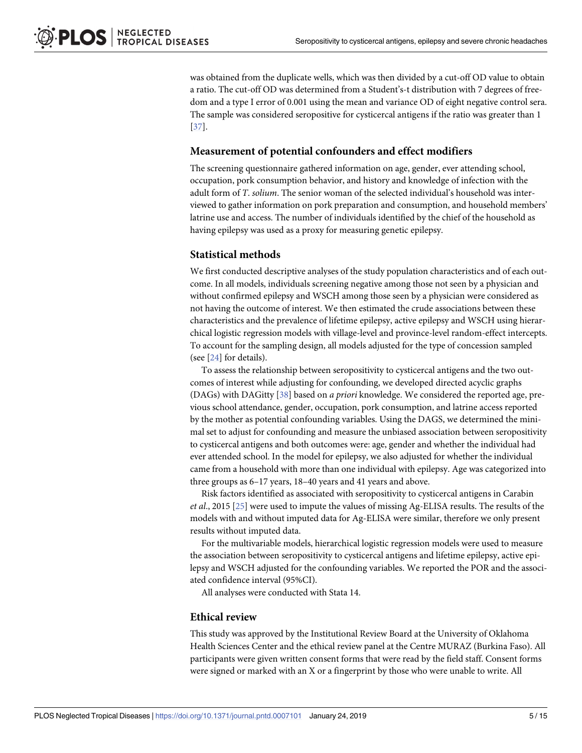<span id="page-4-0"></span>was obtained from the duplicate wells, which was then divided by a cut-off OD value to obtain a ratio. The cut-off OD was determined from a Student's-t distribution with 7 degrees of freedom and a type I error of 0.001 using the mean and variance OD of eight negative control sera. The sample was considered seropositive for cysticercal antigens if the ratio was greater than 1 [\[37\]](#page-14-0).

#### **Measurement of potential confounders and effect modifiers**

The screening questionnaire gathered information on age, gender, ever attending school, occupation, pork consumption behavior, and history and knowledge of infection with the adult form of *T*. *solium*. The senior woman of the selected individual's household was interviewed to gather information on pork preparation and consumption, and household members' latrine use and access. The number of individuals identified by the chief of the household as having epilepsy was used as a proxy for measuring genetic epilepsy.

#### **Statistical methods**

We first conducted descriptive analyses of the study population characteristics and of each outcome. In all models, individuals screening negative among those not seen by a physician and without confirmed epilepsy and WSCH among those seen by a physician were considered as not having the outcome of interest. We then estimated the crude associations between these characteristics and the prevalence of lifetime epilepsy, active epilepsy and WSCH using hierarchical logistic regression models with village-level and province-level random-effect intercepts. To account for the sampling design, all models adjusted for the type of concession sampled (see [\[24\]](#page-13-0) for details).

To assess the relationship between seropositivity to cysticercal antigens and the two outcomes of interest while adjusting for confounding, we developed directed acyclic graphs (DAGs) with DAGitty [\[38\]](#page-14-0) based on *a priori* knowledge. We considered the reported age, previous school attendance, gender, occupation, pork consumption, and latrine access reported by the mother as potential confounding variables. Using the DAGS, we determined the minimal set to adjust for confounding and measure the unbiased association between seropositivity to cysticercal antigens and both outcomes were: age, gender and whether the individual had ever attended school. In the model for epilepsy, we also adjusted for whether the individual came from a household with more than one individual with epilepsy. Age was categorized into three groups as 6–17 years, 18–40 years and 41 years and above.

Risk factors identified as associated with seropositivity to cysticercal antigens in Carabin *et al*., 2015 [[25](#page-13-0)] were used to impute the values of missing Ag-ELISA results. The results of the models with and without imputed data for Ag-ELISA were similar, therefore we only present results without imputed data.

For the multivariable models, hierarchical logistic regression models were used to measure the association between seropositivity to cysticercal antigens and lifetime epilepsy, active epilepsy and WSCH adjusted for the confounding variables. We reported the POR and the associated confidence interval (95%CI).

All analyses were conducted with Stata 14.

#### **Ethical review**

This study was approved by the Institutional Review Board at the University of Oklahoma Health Sciences Center and the ethical review panel at the Centre MURAZ (Burkina Faso). All participants were given written consent forms that were read by the field staff. Consent forms were signed or marked with an X or a fingerprint by those who were unable to write. All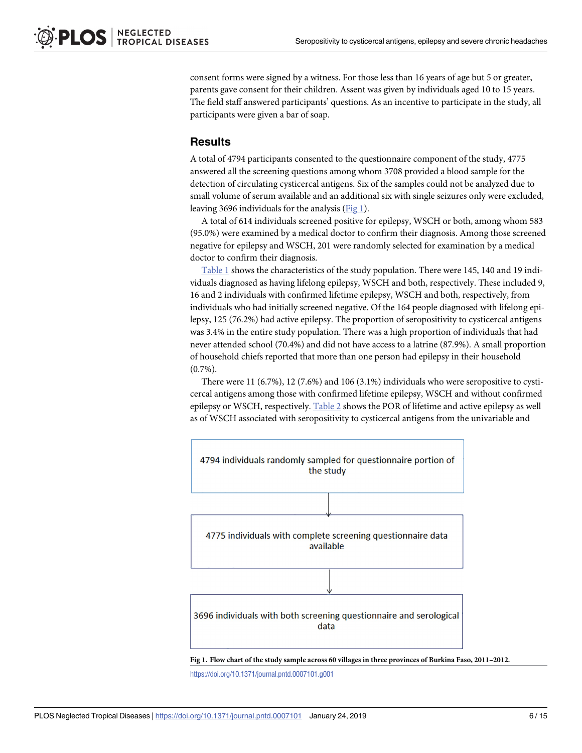<span id="page-5-0"></span>consent forms were signed by a witness. For those less than 16 years of age but 5 or greater, parents gave consent for their children. Assent was given by individuals aged 10 to 15 years. The field staff answered participants' questions. As an incentive to participate in the study, all participants were given a bar of soap.

### **Results**

A total of 4794 participants consented to the questionnaire component of the study, 4775 answered all the screening questions among whom 3708 provided a blood sample for the detection of circulating cysticercal antigens. Six of the samples could not be analyzed due to small volume of serum available and an additional six with single seizures only were excluded, leaving 3696 individuals for the analysis (Fig 1).

A total of 614 individuals screened positive for epilepsy, WSCH or both, among whom 583 (95.0%) were examined by a medical doctor to confirm their diagnosis. Among those screened negative for epilepsy and WSCH, 201 were randomly selected for examination by a medical doctor to confirm their diagnosis.

[Table](#page-6-0) 1 shows the characteristics of the study population. There were 145, 140 and 19 individuals diagnosed as having lifelong epilepsy, WSCH and both, respectively. These included 9, 16 and 2 individuals with confirmed lifetime epilepsy, WSCH and both, respectively, from individuals who had initially screened negative. Of the 164 people diagnosed with lifelong epilepsy, 125 (76.2%) had active epilepsy. The proportion of seropositivity to cysticercal antigens was 3.4% in the entire study population. There was a high proportion of individuals that had never attended school (70.4%) and did not have access to a latrine (87.9%). A small proportion of household chiefs reported that more than one person had epilepsy in their household (0.7%).

There were  $11$  (6.7%),  $12$  (7.6%) and  $106$  (3.1%) individuals who were seropositive to cysticercal antigens among those with confirmed lifetime epilepsy, WSCH and without confirmed epilepsy or WSCH, respectively. [Table](#page-8-0) 2 shows the POR of lifetime and active epilepsy as well as of WSCH associated with seropositivity to cysticercal antigens from the univariable and



Fig 1. Flow chart of the study sample across 60 villages in three provinces of Burkina Faso, 2011-2012.

<https://doi.org/10.1371/journal.pntd.0007101.g001>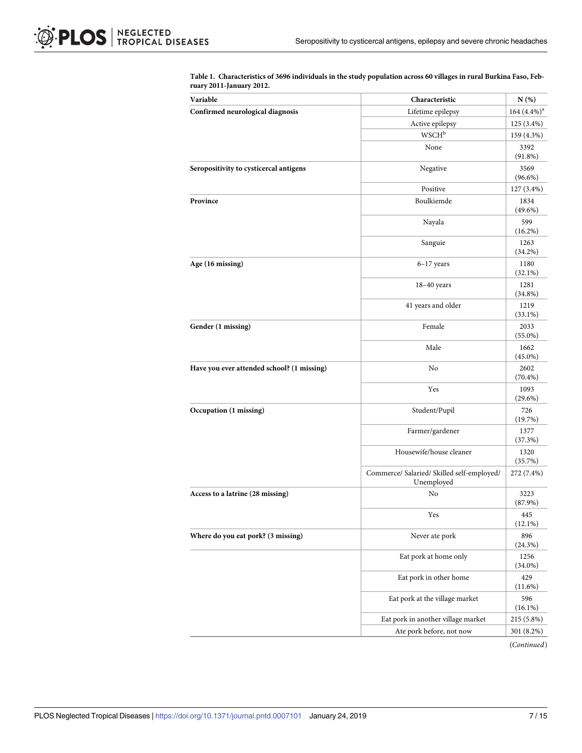| Variable                                   | Characteristic                                           | N(%)                       |
|--------------------------------------------|----------------------------------------------------------|----------------------------|
| Confirmed neurological diagnosis           | Lifetime epilepsy                                        | 164 $(4.4\%)$ <sup>a</sup> |
|                                            | Active epilepsy                                          | 125 (3.4%)                 |
|                                            | <b>WSCH</b> <sup>b</sup>                                 | 159 (4.3%)                 |
|                                            | None                                                     | 3392<br>(91.8%)            |
| Seropositivity to cysticercal antigens     | Negative                                                 | 3569<br>$(96.6\%)$         |
|                                            | Positive                                                 | 127 (3.4%)                 |
| Province                                   | Boulkiemde                                               | 1834<br>$(49.6\%)$         |
|                                            | Nayala                                                   | 599<br>$(16.2\%)$          |
|                                            | Sanguie                                                  | 1263<br>$(34.2\%)$         |
| Age (16 missing)                           | $6-17$ years                                             | 1180<br>$(32.1\%)$         |
|                                            | 18-40 years                                              | 1281<br>$(34.8\%)$         |
|                                            | 41 years and older                                       | 1219<br>$(33.1\%)$         |
| Gender (1 missing)                         | Female                                                   | 2033<br>$(55.0\%)$         |
|                                            | Male                                                     | 1662<br>$(45.0\%)$         |
| Have you ever attended school? (1 missing) | N <sub>0</sub>                                           | 2602<br>$(70.4\%)$         |
|                                            | Yes                                                      | 1093<br>$(29.6\%)$         |
| Occupation (1 missing)                     | Student/Pupil                                            | 726<br>(19.7%)             |
|                                            | Farmer/gardener                                          | 1377<br>(37.3%)            |
|                                            | Housewife/house cleaner                                  | 1320<br>(35.7%)            |
|                                            | Commerce/ Salaried/ Skilled self-employed/<br>Unemployed | 272 (7.4%)                 |
| Access to a latrine (28 missing)           | No                                                       | 3223<br>$(87.9\%)$         |
|                                            | Yes                                                      | 445<br>$(12.1\%)$          |
| Where do you eat pork? (3 missing)         | Never ate pork                                           | 896<br>(24.3%)             |
|                                            | Eat pork at home only                                    | 1256<br>$(34.0\%)$         |
|                                            | Eat pork in other home                                   | 429<br>$(11.6\%)$          |
|                                            | Eat pork at the village market                           | 596<br>$(16.1\%)$          |
|                                            | Eat pork in another village market                       | 215 (5.8%)                 |
|                                            | Ate pork before, not now                                 | 301 (8.2%)                 |

#### <span id="page-6-0"></span>[Table](#page-5-0) 1. Characteristics of 3696 individuals in the study population across 60 villages in rural Burkina Faso, Feb**ruary 2011-January 2012.**

(*Continued*)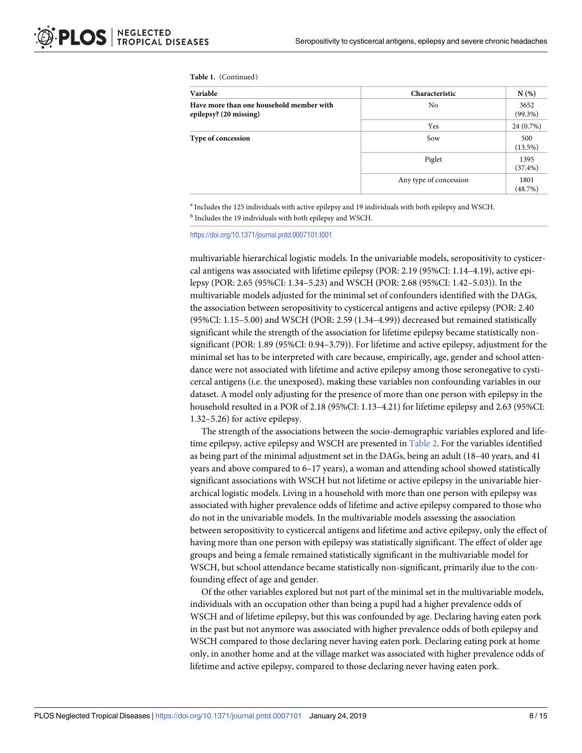**Table 1.** (Continued)

| Variable                                                           | Characteristic         | $N(\%)$            |
|--------------------------------------------------------------------|------------------------|--------------------|
| Have more than one household member with<br>epilepsy? (20 missing) | No                     | 3652<br>$(99.3\%)$ |
|                                                                    | Yes                    | 24 (0.7%)          |
| Type of concession                                                 | Sow                    | 500<br>$(13.5\%)$  |
|                                                                    | Piglet                 | 1395<br>$(37.4\%)$ |
|                                                                    | Any type of concession | 1801<br>(48.7%)    |

<sup>a</sup> Includes the 125 individuals with active epilepsy and 19 individuals with both epilepsy and WSCH. <sup>b</sup> Includes the 19 individuals with both epilepsy and WSCH.

<https://doi.org/10.1371/journal.pntd.0007101.t001>

multivariable hierarchical logistic models. In the univariable models, seropositivity to cysticercal antigens was associated with lifetime epilepsy (POR: 2.19 (95%CI: 1.14–4.19), active epilepsy (POR: 2.65 (95%CI: 1.34–5.23) and WSCH (POR: 2.68 (95%CI: 1.42–5.03)). In the multivariable models adjusted for the minimal set of confounders identified with the DAGs, the association between seropositivity to cysticercal antigens and active epilepsy (POR: 2.40 (95%CI: 1.15–5.00) and WSCH (POR: 2.59 (1.34–4.99)) decreased but remained statistically significant while the strength of the association for lifetime epilepsy became statistically nonsignificant (POR: 1.89 (95%CI: 0.94–3.79)). For lifetime and active epilepsy, adjustment for the minimal set has to be interpreted with care because, empirically, age, gender and school attendance were not associated with lifetime and active epilepsy among those seronegative to cysticercal antigens (i.e. the unexposed), making these variables non confounding variables in our dataset. A model only adjusting for the presence of more than one person with epilepsy in the household resulted in a POR of 2.18 (95%CI: 1.13–4.21) for lifetime epilepsy and 2.63 (95%CI: 1.32–5.26) for active epilepsy.

The strength of the associations between the socio-demographic variables explored and lifetime epilepsy, active epilepsy and WSCH are presented in [Table](#page-8-0) 2. For the variables identified as being part of the minimal adjustment set in the DAGs, being an adult (18–40 years, and 41 years and above compared to 6–17 years), a woman and attending school showed statistically significant associations with WSCH but not lifetime or active epilepsy in the univariable hierarchical logistic models. Living in a household with more than one person with epilepsy was associated with higher prevalence odds of lifetime and active epilepsy compared to those who do not in the univariable models. In the multivariable models assessing the association between seropositivity to cysticercal antigens and lifetime and active epilepsy, only the effect of having more than one person with epilepsy was statistically significant. The effect of older age groups and being a female remained statistically significant in the multivariable model for WSCH, but school attendance became statistically non-significant, primarily due to the confounding effect of age and gender.

Of the other variables explored but not part of the minimal set in the multivariable models, individuals with an occupation other than being a pupil had a higher prevalence odds of WSCH and of lifetime epilepsy, but this was confounded by age. Declaring having eaten pork in the past but not anymore was associated with higher prevalence odds of both epilepsy and WSCH compared to those declaring never having eaten pork. Declaring eating pork at home only, in another home and at the village market was associated with higher prevalence odds of lifetime and active epilepsy, compared to those declaring never having eaten pork.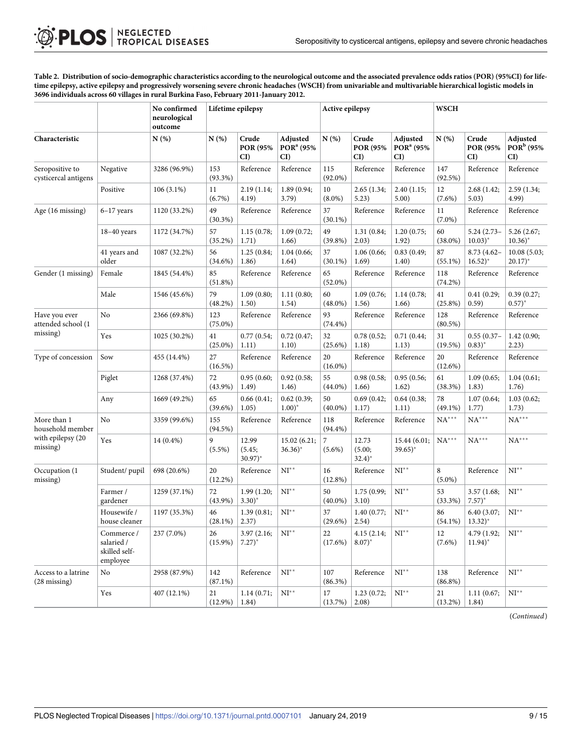<span id="page-8-0"></span>[Table](#page-5-0) 2. Distribution of socio-demographic characteristics according to the neurological outcome and the associated prevalence odds ratios (POR) (95%CI) for lifetime epilepsy, active epilepsy and progressively worsening severe chronic headaches (WSCH) from univariable and multivariable hierarchical logistic models in **3696 individuals across 60 villages in rural Burkina Faso, February 2011-January 2012.**

|                                                                  |                                                       | No confirmed<br>neurological<br>outcome | Lifetime epilepsy |                                         |                                          | Active epilepsy   |                                        |                                          | <b>WSCH</b>         |                                     |                                             |
|------------------------------------------------------------------|-------------------------------------------------------|-----------------------------------------|-------------------|-----------------------------------------|------------------------------------------|-------------------|----------------------------------------|------------------------------------------|---------------------|-------------------------------------|---------------------------------------------|
| Characteristic                                                   |                                                       | N(%)                                    | N(%)              | Crude<br>POR (95%<br>CI                 | Adjusted<br>POR <sup>a</sup> (95%<br>CI) | N(%)              | Crude<br>POR (95%<br>$CI$ )            | Adjusted<br>POR <sup>a</sup> (95%<br>CI) | N(%)                | Crude<br>POR (95%<br>$CI$ )         | Adjusted<br>POR <sup>b</sup> (95%<br>$CI$ ) |
| Seropositive to<br>cysticercal antigens                          | Negative                                              | 3286 (96.9%)                            | 153<br>$(93.3\%)$ | Reference                               | Reference                                | 115<br>$(92.0\%)$ | Reference                              | Reference                                | 147<br>$(92.5\%)$   | Reference                           | Reference                                   |
|                                                                  | Positive                                              | $106(3.1\%)$                            | 11<br>$(6.7\%)$   | 2.19(1.14;<br>4.19)                     | 1.89(0.94;<br>3.79)                      | 10<br>$(8.0\%)$   | 2.65(1.34;<br>5.23)                    | 2.40(1.15;<br>5.00)                      | 12<br>$(7.6\%)$     | 2.68(1.42;<br>5.03)                 | 2.59(1.34;<br>4.99)                         |
| Age (16 missing)                                                 | $6-17$ years                                          | 1120 (33.2%)                            | 49<br>$(30.3\%)$  | Reference                               | Reference                                | 37<br>$(30.1\%)$  | Reference                              | Reference                                | 11<br>$(7.0\%)$     | Reference                           | Reference                                   |
|                                                                  | $18-40$ years                                         | 1172 (34.7%)                            | 57<br>$(35.2\%)$  | 1.15(0.78;<br>1.71)                     | 1.09(0.72;<br>1.66)                      | 49<br>$(39.8\%)$  | 1.31(0.84;<br>2.03)                    | 1.20(0.75;<br>1.92)                      | 60<br>$(38.0\%)$    | $5.24(2.73 -$<br>$(10.03)^*$        | 5.26(2.67;<br>$10.36$ <sup>*</sup>          |
|                                                                  | 41 years and<br>older                                 | 1087 (32.2%)                            | 56<br>$(34.6\%)$  | 1.25(0.84;<br>1.86)                     | 1.04(0.66;<br>1.64)                      | 37<br>$(30.1\%)$  | 1.06(0.66;<br>1.69)                    | 0.83(0.49;<br>1.40)                      | 87<br>$(55.1\%)$    | 8.73 (4.62-<br>$16.52$ <sup>*</sup> | 10.08(5.03;<br>$20.17$ <sup>*</sup>         |
| Gender (1 missing)                                               | Female                                                | 1845 (54.4%)                            | 85<br>$(51.8\%)$  | Reference                               | Reference                                | 65<br>$(52.0\%)$  | Reference                              | Reference                                | 118<br>$(74.2\%)$   | Reference                           | Reference                                   |
|                                                                  | Male                                                  | 1546 (45.6%)                            | 79<br>(48.2%)     | 1.09(0.80;<br>1.50)                     | 1.11(0.80;<br>1.54)                      | 60<br>$(48.0\%)$  | 1.09(0.76;<br>1.56)                    | 1.14(0.78;<br>1.66)                      | 41<br>$(25.8\%)$    | 0.41(0.29;<br>0.59)                 | 0.39(0.27;<br>$0.57$ <sup>*</sup>           |
| Have you ever<br>attended school (1<br>missing)                  | No                                                    | 2366 (69.8%)                            | 123<br>$(75.0\%)$ | Reference                               | Reference                                | 93<br>$(74.4\%)$  | Reference                              | Reference                                | 128<br>$(80.5\%)$   | Reference                           | Reference                                   |
|                                                                  | Yes                                                   | 1025 (30.2%)                            | 41<br>$(25.0\%)$  | 0.77(0.54;<br>1.11)                     | 0.72(0.47;<br>1.10)                      | 32<br>$(25.6\%)$  | 0.78(0.52;<br>1.18)                    | 0.71(0.44;<br>1.13)                      | 31<br>$(19.5\%)$    | $0.55(0.37 -$<br>$(0.83)^*$         | 1.42(0.90;<br>2.23)                         |
| Type of concession                                               | Sow                                                   | 455 (14.4%)                             | 27<br>$(16.5\%)$  | Reference                               | Reference                                | 20<br>$(16.0\%)$  | Reference                              | Reference                                | 20<br>$(12.6\%)$    | Reference                           | Reference                                   |
|                                                                  | Piglet                                                | 1268 (37.4%)                            | 72<br>$(43.9\%)$  | 0.95(0.60;<br>1.49)                     | 0.92(0.58;<br>1.46)                      | 55<br>$(44.0\%)$  | 0.98(0.58;<br>1.66)                    | 0.95(0.56;<br>1.62)                      | 61<br>(38.3%)       | 1.09(0.65;<br>1.83)                 | 1.04(0.61;<br>1.76)                         |
|                                                                  | Any                                                   | 1669 (49.2%)                            | 65<br>$(39.6\%)$  | 0.66(0.41;<br>1.05)                     | 0.62(0.39;<br>$(1.00)^*$                 | 50<br>$(40.0\%)$  | 0.69(0.42;<br>1.17)                    | 0.64(0.38;<br>1.11)                      | 78<br>$(49.1\%)$    | 1.07(0.64;<br>1.77)                 | 1.03(0.62;<br>1.73)                         |
| More than 1<br>household member<br>with epilepsy (20<br>missing) | No                                                    | 3359 (99.6%)                            | 155<br>$(94.5\%)$ | Reference                               | Reference                                | 118<br>$(94.4\%)$ | Reference                              | Reference                                | $NA***$             | $NA***$                             | $NA***$                                     |
|                                                                  | Yes                                                   | $14(0.4\%)$                             | 9<br>$(5.5\%)$    | 12.99<br>(5.45;<br>$30.97$ <sup>*</sup> | 15.02 (6.21;<br>$36.36$ <sup>*</sup>     | 7<br>$(5.6\%)$    | 12.73<br>(5.00;<br>$32.4$ <sup>*</sup> | 15.44(6.01;<br>$39.65$ <sup>*</sup>      | $NA***$             | $NA***$                             | $NA***$                                     |
| Occupation (1<br>missing)                                        | Student/pupil                                         | 698 (20.6%)                             | 20<br>$(12.2\%)$  | Reference                               | $NI^{**}$                                | 16<br>$(12.8\%)$  | Reference                              | $NI^*$                                   | 8<br>$(5.0\%)$      | Reference                           | $\mathrm{NI}^{**}$                          |
|                                                                  | Farmer /<br>gardener                                  | 1259 (37.1%)                            | 72<br>$(43.9\%)$  | 1.99(1.20;<br>$(3.30)^{*}$              | $NI^{**}$                                | 50<br>$(40.0\%)$  | 1.75(0.99;<br>3.10)                    | $NI^{**}$                                | 53<br>$(33.3\%)$    | 3.57 (1.68;<br>$7.57$ <sup>*</sup>  | $\mathrm{NI}^{**}$                          |
|                                                                  | Housewife /<br>house cleaner                          | 1197 (35.3%)                            | 46<br>$(28.1\%)$  | 1.39(0.81;<br>2.37)                     | $NI^{**}$                                | 37<br>$(29.6\%)$  | 1.40(0.77;<br>2.54)                    | $NI^{**}$                                | 86<br>$(54.1\%)$    | 6.40(3.07;<br>$13.32$ <sup>*</sup>  | $\mathrm{NI}^{**}$                          |
|                                                                  | Commerce /<br>salaried /<br>skilled self-<br>employee | 237 (7.0%)                              | 26<br>$(15.9\%)$  | 3.97 (2.16;<br>$7.27$ <sup>*</sup>      | $\mathrm{NI}^{**}$                       | $22\,$<br>(17.6%) | 4.15(2.14;<br>$8.07$ <sup>*</sup>      | $\mathrm{NI}^{**}$                       | $12\,$<br>$(7.6\%)$ | 4.79 (1.92;<br>$11.94$ <sup>*</sup> | $\mathrm{NI}^{**}$                          |
| Access to a latrine<br>$(28 \text{ missing})$                    | No                                                    | 2958 (87.9%)                            | 142<br>$(87.1\%)$ | Reference                               | $\mathrm{NI}^{**}$                       | 107<br>$(86.3\%)$ | Reference                              | $\mathrm{NI}^{**}$                       | 138<br>$(86.8\%)$   | Reference                           | $\mathrm{NI}^{**}$                          |
|                                                                  | Yes                                                   | 407 (12.1%)                             | 21<br>$(12.9\%)$  | 1.14(0.71;<br>1.84)                     | $\mathrm{NI}^{**}$                       | 17<br>(13.7%)     | 1.23(0.72;<br>2.08)                    | $\mathrm{NI}^{**}$                       | 21<br>$(13.2\%)$    | 1.11(0.67;<br>1.84)                 | $\mathrm{NI}^{**}$                          |

(*Continued*)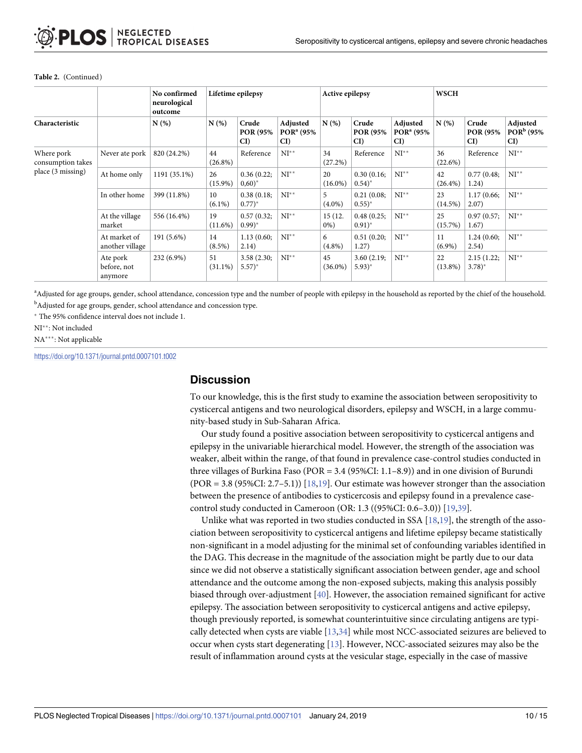|                                                      |                                    | No confirmed<br>neurological<br>outcome | Lifetime epilepsy |                                   |                                 | Active epilepsy    |                                   |                                 | <b>WSCH</b>      |                                   |                               |
|------------------------------------------------------|------------------------------------|-----------------------------------------|-------------------|-----------------------------------|---------------------------------|--------------------|-----------------------------------|---------------------------------|------------------|-----------------------------------|-------------------------------|
| Characteristic                                       |                                    | N(%)                                    | N(%)              | Crude<br>POR (95%<br>CI           | Adjusted<br>$PORa$ (95%)<br>CI) | N(%)               | Crude<br>POR (95%<br>CI           | Adjusted<br>$PORa$ (95%)<br>CI) | N(%)             | Crude<br><b>POR (95%)</b><br>CI   | Adjusted<br>$PORb$ (95%<br>CI |
| Where pork<br>consumption takes<br>place (3 missing) | Never ate pork                     | 820 (24.2%)                             | 44<br>$(26.8\%)$  | Reference                         | $NI**$                          | 34<br>(27.2%)      | Reference                         | $NI^{**}$                       | 36<br>(22.6%)    | Reference                         | $NI^*$                        |
|                                                      | At home only                       | 1191 (35.1%)                            | 26<br>$(15.9\%)$  | 0.36(0.22;<br>$(0,60)^*$          | $NI^{**}$                       | 20<br>$(16.0\%)$   | 0.30(0.16;<br>$(0.54)^*$          | $NI^{**}$                       | 42<br>$(26.4\%)$ | 0.77(0.48;<br>1.24)               | $NI^*$                        |
|                                                      | In other home                      | 399 (11.8%)                             | 10<br>$(6.1\%)$   | 0.38(0.18;<br>$(0.77)^*$          | $\mathrm{NI}^{**}$              | 5<br>$(4.0\%)$     | 0.21(0.08;<br>$0.55$ <sup>*</sup> | $NI^{**}$                       | 23<br>(14.5%)    | 1.17(0.66;<br>2.07)               | $NI^*$                        |
|                                                      | At the village<br>market           | 556 (16.4%)                             | 19<br>$(11.6\%)$  | 0.57(0.32;<br>$(0.99)^*$          | $NI^{**}$                       | 15 (12.<br>$0\%$ ) | 0.48(0.25;<br>$(0.91)^*$          | $NI^{**}$                       | 25<br>$(15.7\%)$ | 0.97(0.57;<br>1.67)               | $NI^*$                        |
|                                                      | At market of<br>another village    | 191 (5.6%)                              | 14<br>$(8.5\%)$   | 1.13(0.60;<br>2.14)               | $NI^{**}$                       | 6<br>$(4.8\%)$     | 0.51(0.20;<br>1.27)               | $NI^*$                          | 11<br>$(6.9\%)$  | 1.24(0.60;<br>2.54)               | $NI^*$                        |
|                                                      | Ate pork<br>before, not<br>anymore | 232 (6.9%)                              | 51<br>$(31.1\%)$  | 3.58(2.30;<br>$5.57$ <sup>*</sup> | $NI^{**}$                       | 45<br>$(36.0\%)$   | 3.60(2.19;<br>$5.93$ <sup>*</sup> | $NI^{**}$                       | 22<br>$(13.8\%)$ | 2.15(1.22;<br>$3.78$ <sup>*</sup> | $NI^*$                        |

#### <span id="page-9-0"></span>**Table 2.** (Continued)

a Adjusted for age groups, gender, school attendance, concession type and the number of people with epilepsy in the household as reported by the chief of the household. **bAdjusted for age groups, gender, school attendance and concession type.** 

� The 95% confidence interval does not include 1.

NI\*\*: Not included

NA\*\*\*: Not applicable

<https://doi.org/10.1371/journal.pntd.0007101.t002>

#### **Discussion**

To our knowledge, this is the first study to examine the association between seropositivity to cysticercal antigens and two neurological disorders, epilepsy and WSCH, in a large community-based study in Sub-Saharan Africa.

Our study found a positive association between seropositivity to cysticercal antigens and epilepsy in the univariable hierarchical model. However, the strength of the association was weaker, albeit within the range, of that found in prevalence case-control studies conducted in three villages of Burkina Faso (POR = 3.4 (95%CI: 1.1–8.9)) and in one division of Burundi  $(POR = 3.8 (95\% CI: 2.7-5.1)) [18,19]$  $(POR = 3.8 (95\% CI: 2.7-5.1)) [18,19]$  $(POR = 3.8 (95\% CI: 2.7-5.1)) [18,19]$  $(POR = 3.8 (95\% CI: 2.7-5.1)) [18,19]$  $(POR = 3.8 (95\% CI: 2.7-5.1)) [18,19]$ . Our estimate was however stronger than the association between the presence of antibodies to cysticercosis and epilepsy found in a prevalence casecontrol study conducted in Cameroon (OR: 1.3 ((95%CI: 0.6–3.0)) [[19](#page-13-0)[,39\]](#page-14-0).

Unlike what was reported in two studies conducted in SSA  $[18,19]$  $[18,19]$ , the strength of the association between seropositivity to cysticercal antigens and lifetime epilepsy became statistically non-significant in a model adjusting for the minimal set of confounding variables identified in the DAG. This decrease in the magnitude of the association might be partly due to our data since we did not observe a statistically significant association between gender, age and school attendance and the outcome among the non-exposed subjects, making this analysis possibly biased through over-adjustment [\[40\]](#page-14-0). However, the association remained significant for active epilepsy. The association between seropositivity to cysticercal antigens and active epilepsy, though previously reported, is somewhat counterintuitive since circulating antigens are typically detected when cysts are viable [[13](#page-12-0)[,34\]](#page-13-0) while most NCC-associated seizures are believed to occur when cysts start degenerating [\[13\]](#page-12-0). However, NCC-associated seizures may also be the result of inflammation around cysts at the vesicular stage, especially in the case of massive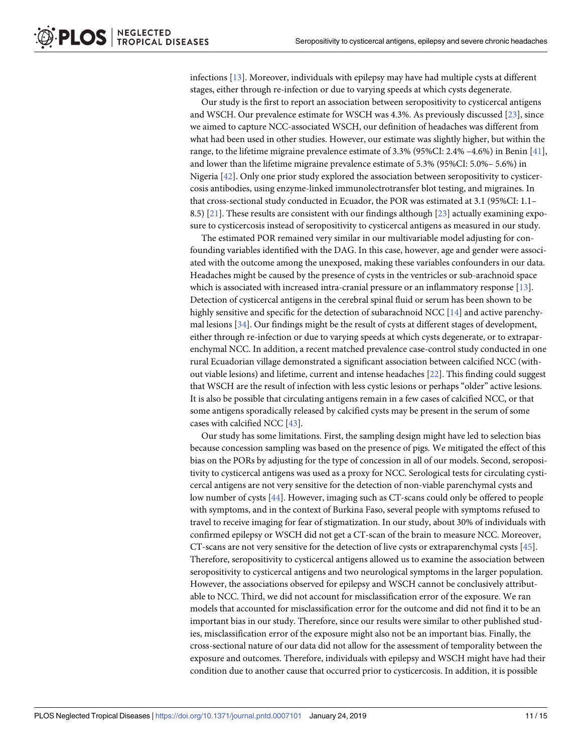<span id="page-10-0"></span>infections [[13](#page-12-0)]. Moreover, individuals with epilepsy may have had multiple cysts at different stages, either through re-infection or due to varying speeds at which cysts degenerate.

Our study is the first to report an association between seropositivity to cysticercal antigens and WSCH. Our prevalence estimate for WSCH was 4.3%. As previously discussed [[23](#page-13-0)], since we aimed to capture NCC-associated WSCH, our definition of headaches was different from what had been used in other studies. However, our estimate was slightly higher, but within the range, to the lifetime migraine prevalence estimate of 3.3% (95%CI: 2.4% –4.6%) in Benin [[41](#page-14-0)], and lower than the lifetime migraine prevalence estimate of 5.3% (95%CI: 5.0%– 5.6%) in Nigeria [\[42\]](#page-14-0). Only one prior study explored the association between seropositivity to cysticercosis antibodies, using enzyme-linked immunolectrotransfer blot testing, and migraines. In that cross-sectional study conducted in Ecuador, the POR was estimated at 3.1 (95%CI: 1.1– 8.5) [[21](#page-13-0)]. These results are consistent with our findings although [[23](#page-13-0)] actually examining exposure to cysticercosis instead of seropositivity to cysticercal antigens as measured in our study.

The estimated POR remained very similar in our multivariable model adjusting for confounding variables identified with the DAG. In this case, however, age and gender were associated with the outcome among the unexposed, making these variables confounders in our data. Headaches might be caused by the presence of cysts in the ventricles or sub-arachnoid space which is associated with increased intra-cranial pressure or an inflammatory response [\[13\]](#page-12-0). Detection of cysticercal antigens in the cerebral spinal fluid or serum has been shown to be highly sensitive and specific for the detection of subarachnoid NCC [\[14\]](#page-12-0) and active parenchymal lesions [[34](#page-13-0)]. Our findings might be the result of cysts at different stages of development, either through re-infection or due to varying speeds at which cysts degenerate, or to extraparenchymal NCC. In addition, a recent matched prevalence case-control study conducted in one rural Ecuadorian village demonstrated a significant association between calcified NCC (without viable lesions) and lifetime, current and intense headaches [\[22\]](#page-13-0). This finding could suggest that WSCH are the result of infection with less cystic lesions or perhaps "older" active lesions. It is also be possible that circulating antigens remain in a few cases of calcified NCC, or that some antigens sporadically released by calcified cysts may be present in the serum of some cases with calcified NCC [[43](#page-14-0)].

Our study has some limitations. First, the sampling design might have led to selection bias because concession sampling was based on the presence of pigs. We mitigated the effect of this bias on the PORs by adjusting for the type of concession in all of our models. Second, seropositivity to cysticercal antigens was used as a proxy for NCC. Serological tests for circulating cysticercal antigens are not very sensitive for the detection of non-viable parenchymal cysts and low number of cysts [[44\]](#page-14-0). However, imaging such as CT-scans could only be offered to people with symptoms, and in the context of Burkina Faso, several people with symptoms refused to travel to receive imaging for fear of stigmatization. In our study, about 30% of individuals with confirmed epilepsy or WSCH did not get a CT-scan of the brain to measure NCC. Moreover, CT-scans are not very sensitive for the detection of live cysts or extraparenchymal cysts [[45](#page-14-0)]. Therefore, seropositivity to cysticercal antigens allowed us to examine the association between seropositivity to cysticercal antigens and two neurological symptoms in the larger population. However, the associations observed for epilepsy and WSCH cannot be conclusively attributable to NCC. Third, we did not account for misclassification error of the exposure. We ran models that accounted for misclassification error for the outcome and did not find it to be an important bias in our study. Therefore, since our results were similar to other published studies, misclassification error of the exposure might also not be an important bias. Finally, the cross-sectional nature of our data did not allow for the assessment of temporality between the exposure and outcomes. Therefore, individuals with epilepsy and WSCH might have had their condition due to another cause that occurred prior to cysticercosis. In addition, it is possible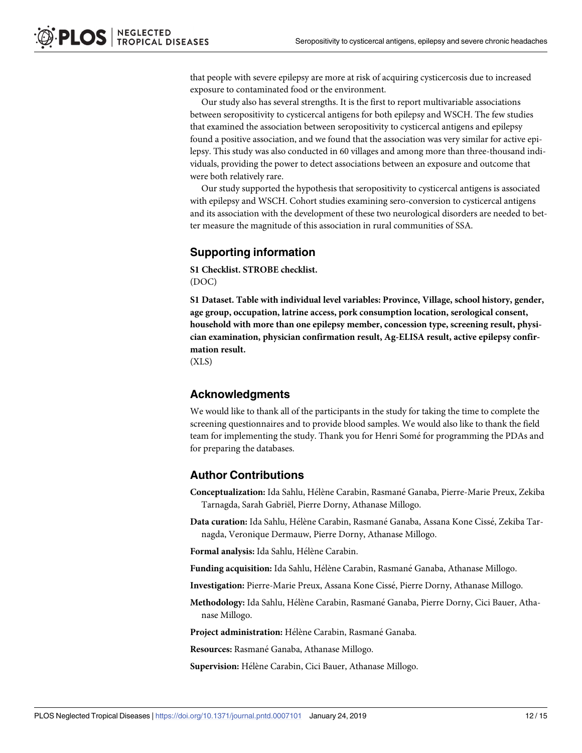that people with severe epilepsy are more at risk of acquiring cysticercosis due to increased exposure to contaminated food or the environment.

Our study also has several strengths. It is the first to report multivariable associations between seropositivity to cysticercal antigens for both epilepsy and WSCH. The few studies that examined the association between seropositivity to cysticercal antigens and epilepsy found a positive association, and we found that the association was very similar for active epilepsy. This study was also conducted in 60 villages and among more than three-thousand individuals, providing the power to detect associations between an exposure and outcome that were both relatively rare.

Our study supported the hypothesis that seropositivity to cysticercal antigens is associated with epilepsy and WSCH. Cohort studies examining sero-conversion to cysticercal antigens and its association with the development of these two neurological disorders are needed to better measure the magnitude of this association in rural communities of SSA.

#### **Supporting information**

**S1 [Checklist.](http://journals.plos.org/plosntds/article/asset?unique&id=info:doi/10.1371/journal.pntd.0007101.s001) STROBE checklist.** (DOC)

**S1 [Dataset.](http://journals.plos.org/plosntds/article/asset?unique&id=info:doi/10.1371/journal.pntd.0007101.s002) Table with individual level variables: Province, Village, school history, gender, age group, occupation, latrine access, pork consumption location, serological consent, household with more than one epilepsy member, concession type, screening result, physician examination, physician confirmation result, Ag-ELISA result, active epilepsy confirmation result.**

(XLS)

#### **Acknowledgments**

We would like to thank all of the participants in the study for taking the time to complete the screening questionnaires and to provide blood samples. We would also like to thank the field team for implementing the study. Thank you for Henri Some´ for programming the PDAs and for preparing the databases.

#### **Author Contributions**

**Conceptualization:** Ida Sahlu, Hélène Carabin, Rasmané Ganaba, Pierre-Marie Preux, Zekiba Tarnagda, Sarah Gabriël, Pierre Dorny, Athanase Millogo.

Data curation: Ida Sahlu, Hélène Carabin, Rasmané Ganaba, Assana Kone Cissé, Zekiba Tarnagda, Veronique Dermauw, Pierre Dorny, Athanase Millogo.

**Formal analysis:** Ida Sahlu, Hélène Carabin.

**Funding acquisition:** Ida Sahlu, Hélène Carabin, Rasmané Ganaba, Athanase Millogo.

**Investigation:** Pierre-Marie Preux, Assana Kone Cisse´, Pierre Dorny, Athanase Millogo.

Methodology: Ida Sahlu, Hélène Carabin, Rasmané Ganaba, Pierre Dorny, Cici Bauer, Athanase Millogo.

Project administration: Hélène Carabin, Rasmané Ganaba.

**Resources:** Rasmané Ganaba, Athanase Millogo.

**Supervision:** Hélène Carabin, Cici Bauer, Athanase Millogo.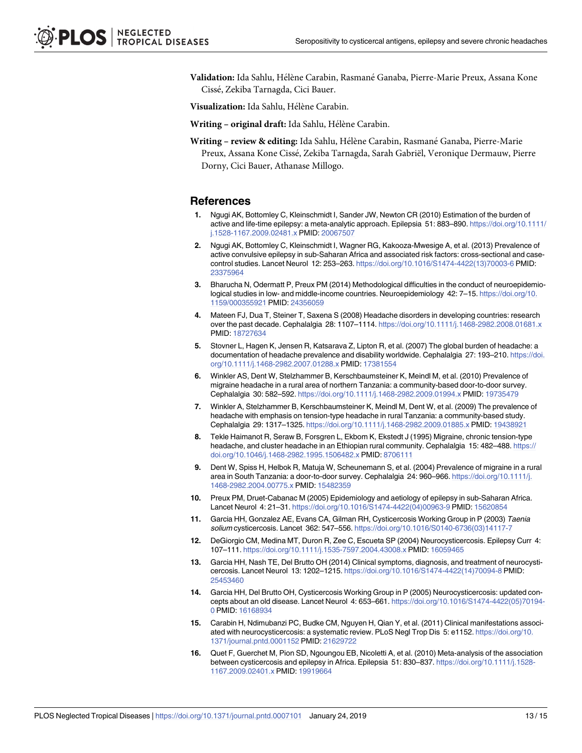<span id="page-12-0"></span>Validation: Ida Sahlu, Hélène Carabin, Rasmané Ganaba, Pierre-Marie Preux, Assana Kone Cisse´, Zekiba Tarnagda, Cici Bauer.

**Visualization:** Ida Sahlu, Hélène Carabin.

- **Writing original draft:** Ida Sahlu, Hélène Carabin.
- **Writing – review & editing:** Ida Sahlu, He´lène Carabin, Rasmane´ Ganaba, Pierre-Marie Preux, Assana Kone Cissé, Zekiba Tarnagda, Sarah Gabriël, Veronique Dermauw, Pierre Dorny, Cici Bauer, Athanase Millogo.

#### **References**

- **[1](#page-1-0).** Ngugi AK, Bottomley C, Kleinschmidt I, Sander JW, Newton CR (2010) Estimation of the burden of active and life-time epilepsy: a meta-analytic approach. Epilepsia 51: 883–890. [https://doi.org/10.1111/](https://doi.org/10.1111/j.1528-1167.2009.02481.x) [j.1528-1167.2009.02481.x](https://doi.org/10.1111/j.1528-1167.2009.02481.x) PMID: [20067507](http://www.ncbi.nlm.nih.gov/pubmed/20067507)
- **[2](#page-1-0).** Ngugi AK, Bottomley C, Kleinschmidt I, Wagner RG, Kakooza-Mwesige A, et al. (2013) Prevalence of active convulsive epilepsy in sub-Saharan Africa and associated risk factors: cross-sectional and casecontrol studies. Lancet Neurol 12: 253–263. [https://doi.org/10.1016/S1474-4422\(13\)70003-6](https://doi.org/10.1016/S1474-4422(13)70003-6) PMID: [23375964](http://www.ncbi.nlm.nih.gov/pubmed/23375964)
- **3.** Bharucha N, Odermatt P, Preux PM (2014) Methodological difficulties in the conduct of neuroepidemiological studies in low- and middle-income countries. Neuroepidemiology 42: 7-15. [https://doi.org/10.](https://doi.org/10.1159/000355921) [1159/000355921](https://doi.org/10.1159/000355921) PMID: [24356059](http://www.ncbi.nlm.nih.gov/pubmed/24356059)
- **[4](#page-1-0).** Mateen FJ, Dua T, Steiner T, Saxena S (2008) Headache disorders in developing countries: research over the past decade. Cephalalgia 28: 1107–1114. <https://doi.org/10.1111/j.1468-2982.2008.01681.x> PMID: [18727634](http://www.ncbi.nlm.nih.gov/pubmed/18727634)
- **[5](#page-1-0).** Stovner L, Hagen K, Jensen R, Katsarava Z, Lipton R, et al. (2007) The global burden of headache: a documentation of headache prevalence and disability worldwide. Cephalalgia 27: 193–210. [https://doi.](https://doi.org/10.1111/j.1468-2982.2007.01288.x) [org/10.1111/j.1468-2982.2007.01288.x](https://doi.org/10.1111/j.1468-2982.2007.01288.x) PMID: [17381554](http://www.ncbi.nlm.nih.gov/pubmed/17381554)
- **[6](#page-1-0).** Winkler AS, Dent W, Stelzhammer B, Kerschbaumsteiner K, Meindl M, et al. (2010) Prevalence of migraine headache in a rural area of northern Tanzania: a community-based door-to-door survey. Cephalalgia 30: 582–592. <https://doi.org/10.1111/j.1468-2982.2009.01994.x> PMID: [19735479](http://www.ncbi.nlm.nih.gov/pubmed/19735479)
- **7.** Winkler A, Stelzhammer B, Kerschbaumsteiner K, Meindl M, Dent W, et al. (2009) The prevalence of headache with emphasis on tension-type headache in rural Tanzania: a community-based study. Cephalalgia 29: 1317–1325. <https://doi.org/10.1111/j.1468-2982.2009.01885.x> PMID: [19438921](http://www.ncbi.nlm.nih.gov/pubmed/19438921)
- **8.** Tekle Haimanot R, Seraw B, Forsgren L, Ekbom K, Ekstedt J (1995) Migraine, chronic tension-type headache, and cluster headache in an Ethiopian rural community. Cephalalgia 15: 482–488. [https://](https://doi.org/10.1046/j.1468-2982.1995.1506482.x) [doi.org/10.1046/j.1468-2982.1995.1506482.x](https://doi.org/10.1046/j.1468-2982.1995.1506482.x) PMID: [8706111](http://www.ncbi.nlm.nih.gov/pubmed/8706111)
- **[9](#page-1-0).** Dent W, Spiss H, Helbok R, Matuja W, Scheunemann S, et al. (2004) Prevalence of migraine in a rural area in South Tanzania: a door-to-door survey. Cephalalgia 24: 960–966. [https://doi.org/10.1111/j.](https://doi.org/10.1111/j.1468-2982.2004.00775.x) [1468-2982.2004.00775.x](https://doi.org/10.1111/j.1468-2982.2004.00775.x) PMID: [15482359](http://www.ncbi.nlm.nih.gov/pubmed/15482359)
- **[10](#page-1-0).** Preux PM, Druet-Cabanac M (2005) Epidemiology and aetiology of epilepsy in sub-Saharan Africa. Lancet Neurol 4: 21–31. [https://doi.org/10.1016/S1474-4422\(04\)00963-9](https://doi.org/10.1016/S1474-4422(04)00963-9) PMID: [15620854](http://www.ncbi.nlm.nih.gov/pubmed/15620854)
- **[11](#page-1-0).** Garcia HH, Gonzalez AE, Evans CA, Gilman RH, Cysticercosis Working Group in P (2003) Taenia solium cysticercosis. Lancet 362: 547–556. [https://doi.org/10.1016/S0140-6736\(03\)14117-7](https://doi.org/10.1016/S0140-6736(03)14117-7)
- **[12](#page-1-0).** DeGiorgio CM, Medina MT, Duron R, Zee C, Escueta SP (2004) Neurocysticercosis. Epilepsy Curr 4: 107–111. <https://doi.org/10.1111/j.1535-7597.2004.43008.x> PMID: [16059465](http://www.ncbi.nlm.nih.gov/pubmed/16059465)
- **[13](#page-1-0).** Garcia HH, Nash TE, Del Brutto OH (2014) Clinical symptoms, diagnosis, and treatment of neurocysticercosis. Lancet Neurol 13: 1202–1215. [https://doi.org/10.1016/S1474-4422\(14\)70094-8](https://doi.org/10.1016/S1474-4422(14)70094-8) PMID: [25453460](http://www.ncbi.nlm.nih.gov/pubmed/25453460)
- **[14](#page-2-0).** Garcia HH, Del Brutto OH, Cysticercosis Working Group in P (2005) Neurocysticercosis: updated concepts about an old disease. Lancet Neurol 4: 653–661. [https://doi.org/10.1016/S1474-4422\(05\)70194-](https://doi.org/10.1016/S1474-4422(05)70194-0) [0](https://doi.org/10.1016/S1474-4422(05)70194-0) PMID: [16168934](http://www.ncbi.nlm.nih.gov/pubmed/16168934)
- **[15](#page-2-0).** Carabin H, Ndimubanzi PC, Budke CM, Nguyen H, Qian Y, et al. (2011) Clinical manifestations associated with neurocysticercosis: a systematic review. PLoS Negl Trop Dis 5: e1152. [https://doi.org/10.](https://doi.org/10.1371/journal.pntd.0001152) [1371/journal.pntd.0001152](https://doi.org/10.1371/journal.pntd.0001152) PMID: [21629722](http://www.ncbi.nlm.nih.gov/pubmed/21629722)
- **[16](#page-2-0).** Quet F, Guerchet M, Pion SD, Ngoungou EB, Nicoletti A, et al. (2010) Meta-analysis of the association between cysticercosis and epilepsy in Africa. Epilepsia 51: 830–837. [https://doi.org/10.1111/j.1528-](https://doi.org/10.1111/j.1528-1167.2009.02401.x) [1167.2009.02401.x](https://doi.org/10.1111/j.1528-1167.2009.02401.x) PMID: [19919664](http://www.ncbi.nlm.nih.gov/pubmed/19919664)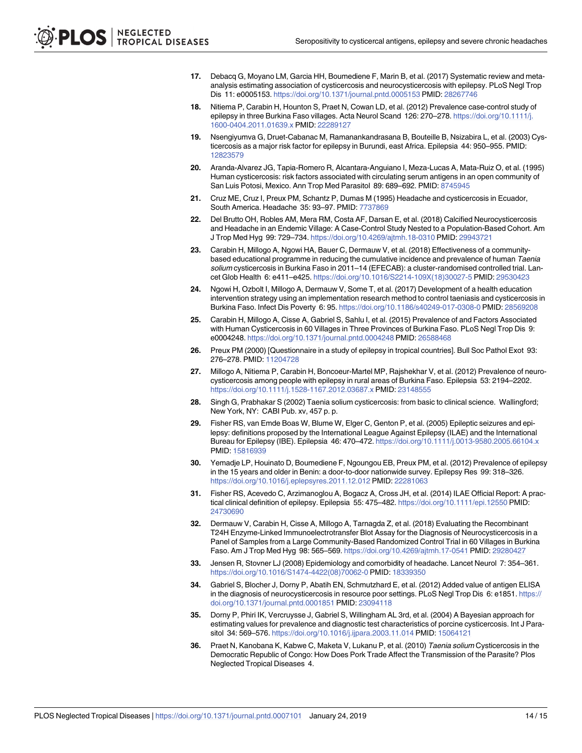- <span id="page-13-0"></span>**[17](#page-2-0).** Debacq G, Moyano LM, Garcia HH, Boumediene F, Marin B, et al. (2017) Systematic review and metaanalysis estimating association of cysticercosis and neurocysticercosis with epilepsy. PLoS Negl Trop Dis 11: e0005153. <https://doi.org/10.1371/journal.pntd.0005153> PMID: [28267746](http://www.ncbi.nlm.nih.gov/pubmed/28267746)
- **[18](#page-2-0).** Nitiema P, Carabin H, Hounton S, Praet N, Cowan LD, et al. (2012) Prevalence case-control study of epilepsy in three Burkina Faso villages. Acta Neurol Scand 126: 270–278. [https://doi.org/10.1111/j.](https://doi.org/10.1111/j.1600-0404.2011.01639.x) [1600-0404.2011.01639.x](https://doi.org/10.1111/j.1600-0404.2011.01639.x) PMID: [22289127](http://www.ncbi.nlm.nih.gov/pubmed/22289127)
- **[19](#page-3-0).** Nsengiyumva G, Druet-Cabanac M, Ramanankandrasana B, Bouteille B, Nsizabira L, et al. (2003) Cysticercosis as a major risk factor for epilepsy in Burundi, east Africa. Epilepsia 44: 950–955. PMID: [12823579](http://www.ncbi.nlm.nih.gov/pubmed/12823579)
- **[20](#page-2-0).** Aranda-Alvarez JG, Tapia-Romero R, Alcantara-Anguiano I, Meza-Lucas A, Mata-Ruiz O, et al. (1995) Human cysticercosis: risk factors associated with circulating serum antigens in an open community of San Luis Potosi, Mexico. Ann Trop Med Parasitol 89: 689–692. PMID: [8745945](http://www.ncbi.nlm.nih.gov/pubmed/8745945)
- **[21](#page-2-0).** Cruz ME, Cruz I, Preux PM, Schantz P, Dumas M (1995) Headache and cysticercosis in Ecuador, South America. Headache 35: 93–97. PMID: [7737869](http://www.ncbi.nlm.nih.gov/pubmed/7737869)
- **[22](#page-2-0).** Del Brutto OH, Robles AM, Mera RM, Costa AF, Darsan E, et al. (2018) Calcified Neurocysticercosis and Headache in an Endemic Village: A Case-Control Study Nested to a Population-Based Cohort. Am J Trop Med Hyg 99: 729–734. <https://doi.org/10.4269/ajtmh.18-0310> PMID: [29943721](http://www.ncbi.nlm.nih.gov/pubmed/29943721)
- **[23](#page-2-0).** Carabin H, Millogo A, Ngowi HA, Bauer C, Dermauw V, et al. (2018) Effectiveness of a communitybased educational programme in reducing the cumulative incidence and prevalence of human Taenia solium cysticercosis in Burkina Faso in 2011-14 (EFECAB): a cluster-randomised controlled trial. Lancet Glob Health 6: e411–e425. [https://doi.org/10.1016/S2214-109X\(18\)30027-5](https://doi.org/10.1016/S2214-109X(18)30027-5) PMID: [29530423](http://www.ncbi.nlm.nih.gov/pubmed/29530423)
- **[24](#page-2-0).** Ngowi H, Ozbolt I, Millogo A, Dermauw V, Some T, et al. (2017) Development of a health education intervention strategy using an implementation research method to control taeniasis and cysticercosis in Burkina Faso. Infect Dis Poverty 6: 95. <https://doi.org/10.1186/s40249-017-0308-0> PMID: [28569208](http://www.ncbi.nlm.nih.gov/pubmed/28569208)
- **[25](#page-2-0).** Carabin H, Millogo A, Cisse A, Gabriel S, Sahlu I, et al. (2015) Prevalence of and Factors Associated with Human Cysticercosis in 60 Villages in Three Provinces of Burkina Faso. PLoS Negl Trop Dis 9: e0004248. <https://doi.org/10.1371/journal.pntd.0004248> PMID: [26588468](http://www.ncbi.nlm.nih.gov/pubmed/26588468)
- **[26](#page-3-0).** Preux PM (2000) [Questionnaire in a study of epilepsy in tropical countries]. Bull Soc Pathol Exot 93: 276–278. PMID: [11204728](http://www.ncbi.nlm.nih.gov/pubmed/11204728)
- **[27](#page-3-0).** Millogo A, Nitiema P, Carabin H, Boncoeur-Martel MP, Rajshekhar V, et al. (2012) Prevalence of neurocysticercosis among people with epilepsy in rural areas of Burkina Faso. Epilepsia 53: 2194–2202. <https://doi.org/10.1111/j.1528-1167.2012.03687.x> PMID: [23148555](http://www.ncbi.nlm.nih.gov/pubmed/23148555)
- **[28](#page-3-0).** Singh G, Prabhakar S (2002) Taenia solium cysticercosis: from basic to clinical science. Wallingford; New York, NY: CABI Pub. xv, 457 p. p.
- **[29](#page-3-0).** Fisher RS, van Emde Boas W, Blume W, Elger C, Genton P, et al. (2005) Epileptic seizures and epilepsy: definitions proposed by the International League Against Epilepsy (ILAE) and the International Bureau for Epilepsy (IBE). Epilepsia 46: 470–472. <https://doi.org/10.1111/j.0013-9580.2005.66104.x> PMID: [15816939](http://www.ncbi.nlm.nih.gov/pubmed/15816939)
- **[30](#page-3-0).** Yemadje LP, Houinato D, Boumediene F, Ngoungou EB, Preux PM, et al. (2012) Prevalence of epilepsy in the 15 years and older in Benin: a door-to-door nationwide survey. Epilepsy Res 99: 318–326. <https://doi.org/10.1016/j.eplepsyres.2011.12.012> PMID: [22281063](http://www.ncbi.nlm.nih.gov/pubmed/22281063)
- **[31](#page-3-0).** Fisher RS, Acevedo C, Arzimanoglou A, Bogacz A, Cross JH, et al. (2014) ILAE Official Report: A practical clinical definition of epilepsy. Epilepsia 55: 475–482. <https://doi.org/10.1111/epi.12550> PMID: [24730690](http://www.ncbi.nlm.nih.gov/pubmed/24730690)
- **[32](#page-3-0).** Dermauw V, Carabin H, Cisse A, Millogo A, Tarnagda Z, et al. (2018) Evaluating the Recombinant T24H Enzyme-Linked Immunoelectrotransfer Blot Assay for the Diagnosis of Neurocysticercosis in a Panel of Samples from a Large Community-Based Randomized Control Trial in 60 Villages in Burkina Faso. Am J Trop Med Hyg 98: 565–569. <https://doi.org/10.4269/ajtmh.17-0541> PMID: [29280427](http://www.ncbi.nlm.nih.gov/pubmed/29280427)
- **[33](#page-3-0).** Jensen R, Stovner LJ (2008) Epidemiology and comorbidity of headache. Lancet Neurol 7: 354–361. [https://doi.org/10.1016/S1474-4422\(08\)70062-0](https://doi.org/10.1016/S1474-4422(08)70062-0) PMID: [18339350](http://www.ncbi.nlm.nih.gov/pubmed/18339350)
- **[34](#page-3-0).** Gabriel S, Blocher J, Dorny P, Abatih EN, Schmutzhard E, et al. (2012) Added value of antigen ELISA in the diagnosis of neurocysticercosis in resource poor settings. PLoS Negl Trop Dis 6: e1851. [https://](https://doi.org/10.1371/journal.pntd.0001851) [doi.org/10.1371/journal.pntd.0001851](https://doi.org/10.1371/journal.pntd.0001851) PMID: [23094118](http://www.ncbi.nlm.nih.gov/pubmed/23094118)
- **[35](#page-3-0).** Dorny P, Phiri IK, Vercruysse J, Gabriel S, Willingham AL 3rd, et al. (2004) A Bayesian approach for estimating values for prevalence and diagnostic test characteristics of porcine cysticercosis. Int J Parasitol 34: 569–576. <https://doi.org/10.1016/j.ijpara.2003.11.014> PMID: [15064121](http://www.ncbi.nlm.nih.gov/pubmed/15064121)
- **[36](#page-3-0).** Praet N, Kanobana K, Kabwe C, Maketa V, Lukanu P, et al. (2010) Taenia solium Cysticercosis in the Democratic Republic of Congo: How Does Pork Trade Affect the Transmission of the Parasite? Plos Neglected Tropical Diseases 4.